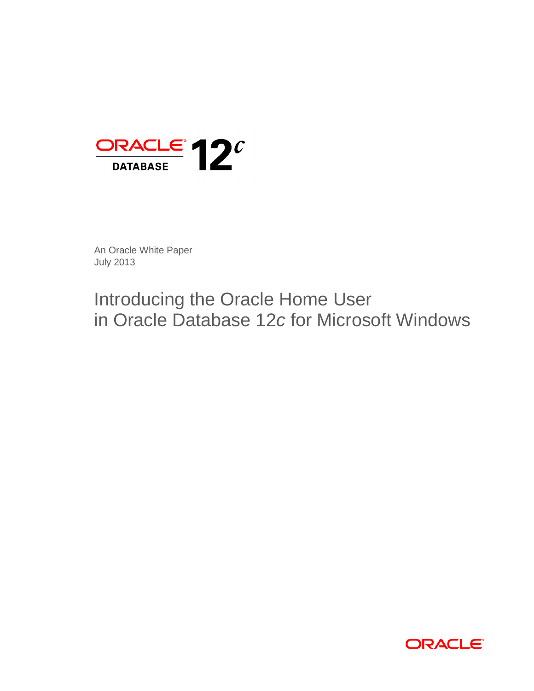

An Oracle White Paper July 2013

# Introducing the Oracle Home User in Oracle Database 12*c* for Microsoft Windows

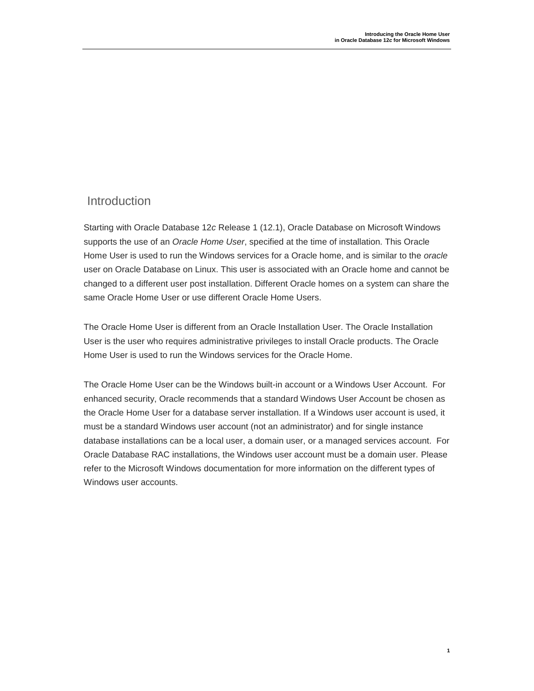### **Introduction**

Starting with Oracle Database 12*c* Release 1 (12.1), Oracle Database on Microsoft Windows supports the use of an *Oracle Home User*, specified at the time of installation. This Oracle Home User is used to run the Windows services for a Oracle home, and is similar to the *oracle* user on Oracle Database on Linux. This user is associated with an Oracle home and cannot be changed to a different user post installation. Different Oracle homes on a system can share the same Oracle Home User or use different Oracle Home Users.

The Oracle Home User is different from an Oracle Installation User. The Oracle Installation User is the user who requires administrative privileges to install Oracle products. The Oracle Home User is used to run the Windows services for the Oracle Home.

The Oracle Home User can be the Windows built-in account or a Windows User Account. For enhanced security, Oracle recommends that a standard Windows User Account be chosen as the Oracle Home User for a database server installation. If a Windows user account is used, it must be a standard Windows user account (not an administrator) and for single instance database installations can be a local user, a domain user, or a managed services account. For Oracle Database RAC installations, the Windows user account must be a domain user. Please refer to the Microsoft Windows documentation for more information on the different types of Windows user accounts.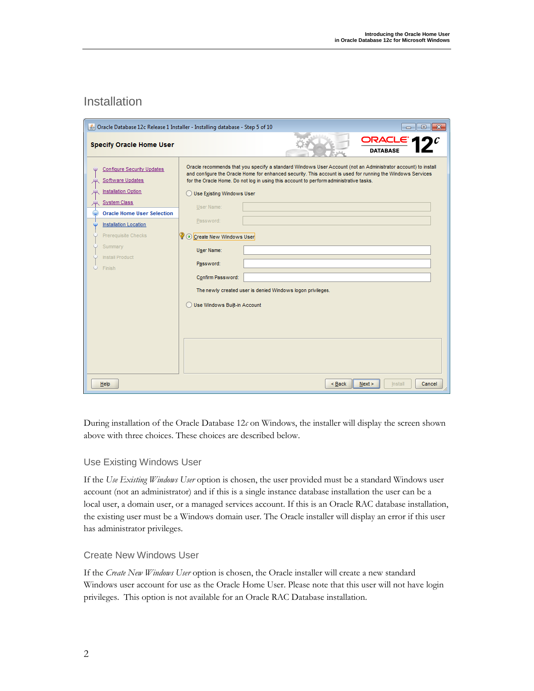## Installation

|                                                                                                                                                                                                                                                       | Oracle Database 12c Release 1 Installer - Installing database - Step 5 of 10<br>$\mathbf{x}$<br>同                                                                                                                                                                                                                                                                                                                                                                                                                                                                |
|-------------------------------------------------------------------------------------------------------------------------------------------------------------------------------------------------------------------------------------------------------|------------------------------------------------------------------------------------------------------------------------------------------------------------------------------------------------------------------------------------------------------------------------------------------------------------------------------------------------------------------------------------------------------------------------------------------------------------------------------------------------------------------------------------------------------------------|
| <b>Specify Oracle Home User</b>                                                                                                                                                                                                                       | ORACLE <sup>'</sup><br><b>DATABASE</b>                                                                                                                                                                                                                                                                                                                                                                                                                                                                                                                           |
| <b>Configure Security Updates</b><br>Software Updates<br><b>Installation Option</b><br><b>System Class</b><br><b>Oracle Home User Selection</b><br><b>Installation Location</b><br>Prerequisite Checks<br>Summary<br><b>Install Product</b><br>Finish | Oracle recommends that you specify a standard Windows User Account (not an Administrator account) to install<br>and configure the Oracle Home for enhanced security. This account is used for running the Windows Services<br>for the Oracle Home. Do not log in using this account to perform administrative tasks.<br>Use Existing Windows User<br><b>User Name:</b><br>Password:<br>V ⊙ Create New Windows User<br>User Name:<br>Password:<br>Confirm Password:<br>The newly created user is denied Windows logon privileges.<br>Use Windows Built-in Account |
| Help                                                                                                                                                                                                                                                  | Next<br>$<$ Back<br>Cancel<br>Install                                                                                                                                                                                                                                                                                                                                                                                                                                                                                                                            |

During installation of the Oracle Database 12*c* on Windows, the installer will display the screen shown above with three choices. These choices are described below.

#### Use Existing Windows User

If the *Use Existing Windows User* option is chosen, the user provided must be a standard Windows user account (not an administrator) and if this is a single instance database installation the user can be a local user, a domain user, or a managed services account. If this is an Oracle RAC database installation, the existing user must be a Windows domain user. The Oracle installer will display an error if this user has administrator privileges.

#### Create New Windows User

If the *Create New Windows User* option is chosen, the Oracle installer will create a new standard Windows user account for use as the Oracle Home User. Please note that this user will not have login privileges. This option is not available for an Oracle RAC Database installation.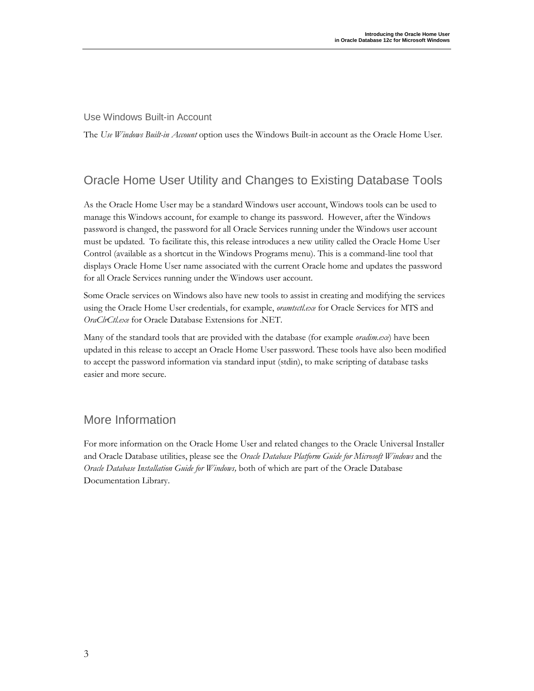#### Use Windows Built-in Account

The *Use Windows Built-in Account* option uses the Windows Built-in account as the Oracle Home User.

# Oracle Home User Utility and Changes to Existing Database Tools

As the Oracle Home User may be a standard Windows user account, Windows tools can be used to manage this Windows account, for example to change its password. However, after the Windows password is changed, the password for all Oracle Services running under the Windows user account must be updated. To facilitate this, this release introduces a new utility called the Oracle Home User Control (available as a shortcut in the Windows Programs menu). This is a command-line tool that displays Oracle Home User name associated with the current Oracle home and updates the password for all Oracle Services running under the Windows user account.

Some Oracle services on Windows also have new tools to assist in creating and modifying the services using the Oracle Home User credentials, for example, *oramtsctl.exe* for Oracle Services for MTS and *OraClrCtl.exe* for Oracle Database Extensions for .NET.

Many of the standard tools that are provided with the database (for example *oradim.exe*) have been updated in this release to accept an Oracle Home User password. These tools have also been modified to accept the password information via standard input (stdin), to make scripting of database tasks easier and more secure.

# More Information

For more information on the Oracle Home User and related changes to the Oracle Universal Installer and Oracle Database utilities, please see the *Oracle Database Platform Guide for Microsoft Windows* and the *Oracle Database Installation Guide for Windows,* both of which are part of the Oracle Database Documentation Library.